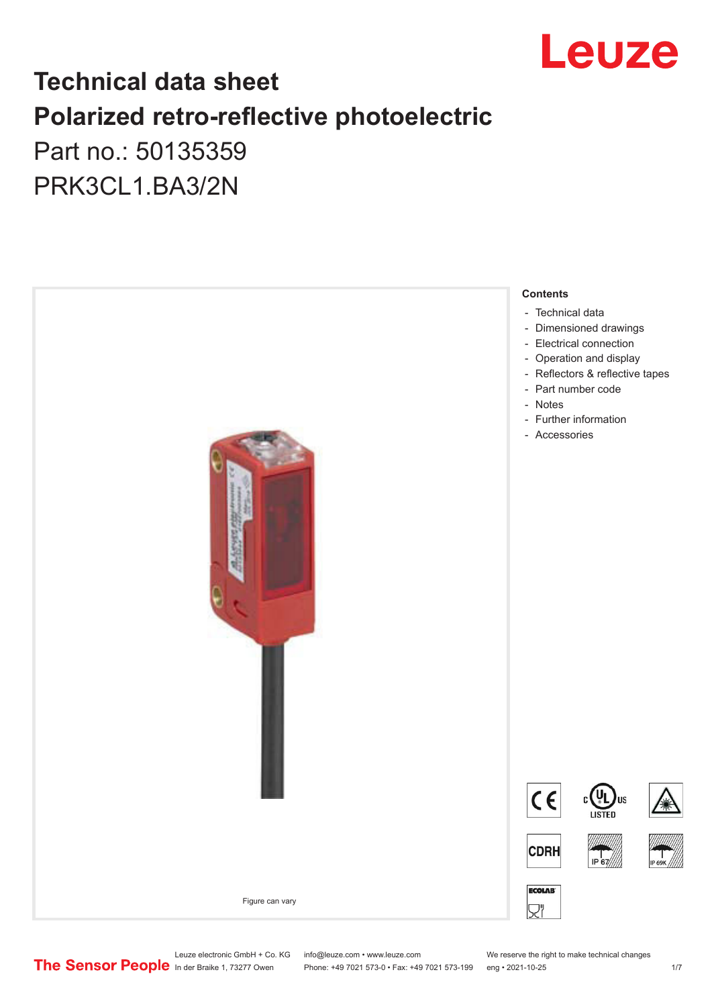

## **Technical data sheet Polarized retro-reflective photoelectric**  Part no.: 50135359

PRK3CL1.BA3/2N



Leuze electronic GmbH + Co. KG info@leuze.com • www.leuze.com We reserve the right to make technical changes<br>
The Sensor People in der Braike 1, 73277 Owen Phone: +49 7021 573-0 • Fax: +49 7021 573-199 eng • 2021-10-25

Phone: +49 7021 573-0 • Fax: +49 7021 573-199 eng • 2021-10-25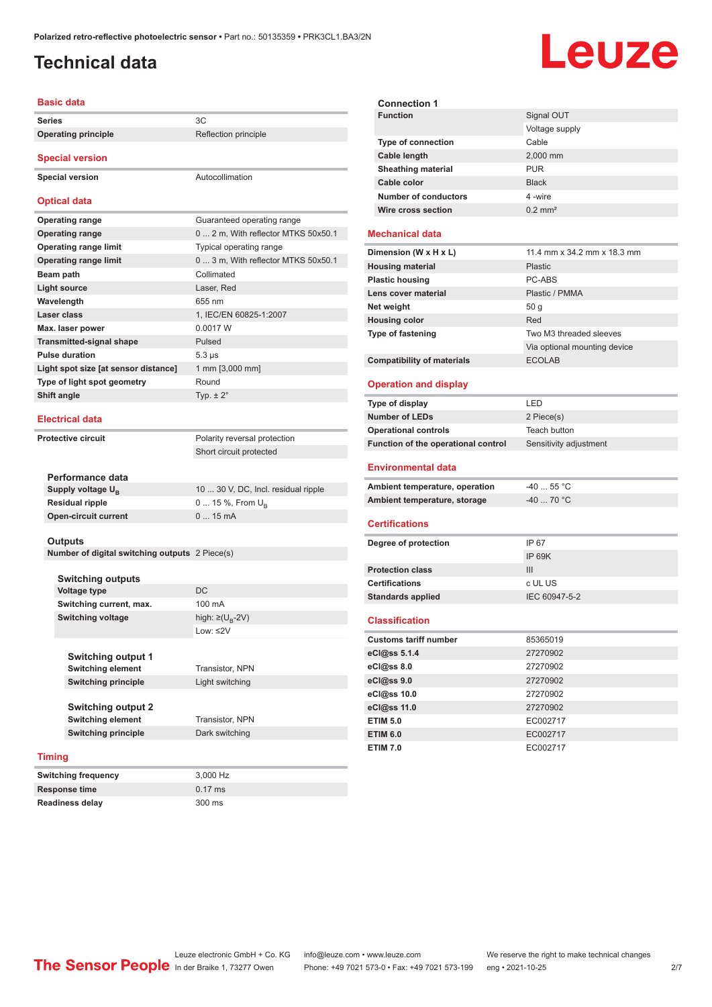## <span id="page-1-0"></span>**Technical data**

# **Leuze**

| <b>Basic data</b>                    |                                     |  |
|--------------------------------------|-------------------------------------|--|
| <b>Series</b>                        | 3C                                  |  |
| <b>Operating principle</b>           | Reflection principle                |  |
| <b>Special version</b>               |                                     |  |
|                                      | Autocollimation                     |  |
| <b>Special version</b>               |                                     |  |
| <b>Optical data</b>                  |                                     |  |
| <b>Operating range</b>               | Guaranteed operating range          |  |
| <b>Operating range</b>               | 0  2 m, With reflector MTKS 50x50.1 |  |
| <b>Operating range limit</b>         | Typical operating range             |  |
| <b>Operating range limit</b>         | 0  3 m, With reflector MTKS 50x50.1 |  |
| Beam path                            | Collimated                          |  |
| <b>Light source</b>                  | Laser. Red                          |  |
| Wavelength                           | 655 nm                              |  |
| Laser class                          | 1, IEC/EN 60825-1:2007              |  |
| Max. laser power                     | 0.0017 W                            |  |
| <b>Transmitted-signal shape</b>      | Pulsed                              |  |
| <b>Pulse duration</b>                | $5.3 \,\mu s$                       |  |
| Light spot size [at sensor distance] | 1 mm [3,000 mm]                     |  |
| Type of light spot geometry          | Round                               |  |
| Shift angle                          | Typ. $\pm 2^{\circ}$                |  |
| <b>Electrical data</b>               |                                     |  |
| <b>Protective circuit</b>            | Polarity reversal protection        |  |
|                                      | Short circuit protected             |  |
|                                      |                                     |  |
| Performance data                     |                                     |  |
| Supply voltage $U_{B}$               | 10  30 V, DC, Incl. residual ripple |  |
| <b>Residual ripple</b>               | 0  15 %, From U <sub>p</sub>        |  |
| <b>Open-circuit current</b>          | 015mA                               |  |
|                                      |                                     |  |

#### **Outputs**

**Number of digital switching outputs** 2 Piece(s)

|        | <b>Switching outputs</b>                              |                                   |
|--------|-------------------------------------------------------|-----------------------------------|
|        | <b>Voltage type</b>                                   | DC.                               |
|        | Switching current, max.                               | 100 mA                            |
|        | <b>Switching voltage</b>                              | high: $\geq$ (U <sub>R</sub> -2V) |
|        |                                                       | $1$ nw: $\leq$ 2V                 |
|        | <b>Switching output 1</b><br><b>Switching element</b> | Transistor, NPN                   |
|        | <b>Switching principle</b>                            | Light switching                   |
|        | <b>Switching output 2</b><br><b>Switching element</b> | <b>Transistor, NPN</b>            |
|        | <b>Switching principle</b>                            | Dark switching                    |
| Timing |                                                       |                                   |

| Switching frequency | 3.000 Hz          |
|---------------------|-------------------|
| Response time       | $0.17 \text{ ms}$ |
| Readiness delay     | 300 ms            |

| <b>Connection 1</b>         |                       |
|-----------------------------|-----------------------|
| <b>Function</b>             | Signal OUT            |
|                             | Voltage supply        |
| <b>Type of connection</b>   | Cable                 |
| Cable length                | 2,000 mm              |
| <b>Sheathing material</b>   | <b>PUR</b>            |
| Cable color                 | <b>Black</b>          |
| <b>Number of conductors</b> | 4-wire                |
| Wire cross section          | $0.2$ mm <sup>2</sup> |
|                             |                       |

#### **Mechanical data**

| Dimension (W x H x L)             | 11.4 mm x 34.2 mm x 18.3 mm  |
|-----------------------------------|------------------------------|
| <b>Housing material</b>           | <b>Plastic</b>               |
| <b>Plastic housing</b>            | PC-ABS                       |
| Lens cover material               | Plastic / PMMA               |
| Net weight                        | 50q                          |
| <b>Housing color</b>              | Red                          |
| <b>Type of fastening</b>          | Two M3 threaded sleeves      |
|                                   | Via optional mounting device |
| <b>Compatibility of materials</b> | <b>ECOLAB</b>                |

#### **Operation and display**

| Type of display                     | I FD                   |
|-------------------------------------|------------------------|
| <b>Number of LEDs</b>               | 2 Piece(s)             |
| <b>Operational controls</b>         | Teach button           |
| Function of the operational control | Sensitivity adjustment |
| <b>Environmental data</b>           |                        |
| Ambient temperature, operation      | $-4055$ °C             |
| Ambient temperature, storage        | $-40$ 70 °C            |
|                                     |                        |

#### **Certifications**

| Degree of protection     | IP 67         |
|--------------------------|---------------|
|                          | IP 69K        |
| <b>Protection class</b>  | Ш             |
| <b>Certifications</b>    | c UL US       |
| <b>Standards applied</b> | IEC 60947-5-2 |
|                          |               |

#### **Classification**

| <b>Customs tariff number</b> | 85365019 |
|------------------------------|----------|
| eCl@ss 5.1.4                 | 27270902 |
| eCl@ss 8.0                   | 27270902 |
| eCl@ss 9.0                   | 27270902 |
| eCl@ss 10.0                  | 27270902 |
| eCl@ss 11.0                  | 27270902 |
| <b>ETIM 5.0</b>              | EC002717 |
| <b>ETIM 6.0</b>              | EC002717 |
| <b>ETIM 7.0</b>              | EC002717 |

Leuze electronic GmbH + Co. KG info@leuze.com • www.leuze.com We reserve the right to make technical changes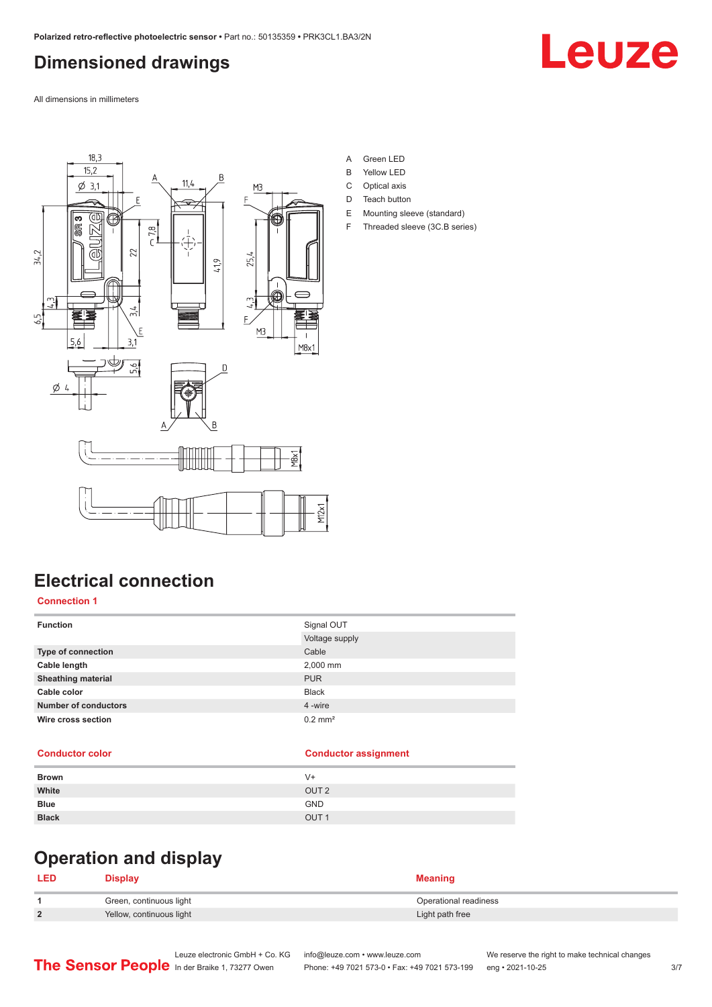## <span id="page-2-0"></span>**Dimensioned drawings**

Leuze

All dimensions in millimeters



- A Green LED
- B Yellow LED
- C Optical axis
- D Teach button
- E Mounting sleeve (standard)
- F Threaded sleeve (3C.B series)

## **Electrical connection**

#### **Connection 1**

| <b>Function</b>             | Signal OUT            |
|-----------------------------|-----------------------|
|                             | Voltage supply        |
| Type of connection          | Cable                 |
| Cable length                | 2,000 mm              |
| <b>Sheathing material</b>   | <b>PUR</b>            |
| Cable color                 | <b>Black</b>          |
| <b>Number of conductors</b> | 4 -wire               |
| Wire cross section          | $0.2$ mm <sup>2</sup> |
|                             |                       |

#### **Conductor color Conductor assignment**

| <b>Brown</b> | $V +$            |
|--------------|------------------|
| White        | OUT <sub>2</sub> |
| <b>Blue</b>  | <b>GND</b>       |
| <b>Black</b> | OUT <sub>1</sub> |

## **Operation and display**

#### **LED Display Meaning 1** Green, continuous light **Continuous Continuous Continuous Continuous Continuous Continuous Continuous Continuous Continuous Continuous Continuous Continuous Continuous Continuous Continuous Continuous Continuous Contin 2** Yellow, continuous light **Victor** Continuous **Continuous** light **Light path free**

Leuze electronic GmbH + Co. KG info@leuze.com • www.leuze.com We reserve the right to make technical changes<br>
The Sensor People in der Braike 1, 73277 Owen Phone: +49 7021 573-0 • Fax: +49 7021 573-199 eng • 2021-10-25 Phone: +49 7021 573-0 • Fax: +49 7021 573-199 eng • 2021-10-25 3/7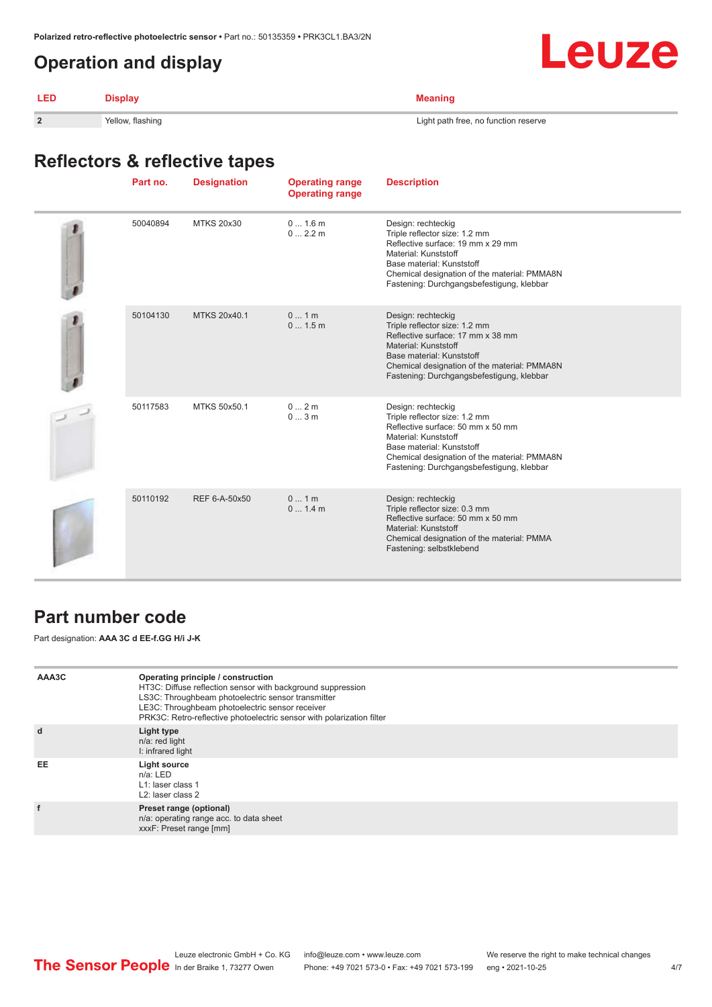## <span id="page-3-0"></span>**Operation and display**



| LED            | tisnlav.         | พeanınd                              |
|----------------|------------------|--------------------------------------|
| $\overline{2}$ | Yellow, flashing | Light path free, no function reserve |

## **Reflectors & reflective tapes**

| Part no. | <b>Designation</b> | <b>Operating range</b><br><b>Operating range</b> | <b>Description</b>                                                                                                                                                                                                                         |
|----------|--------------------|--------------------------------------------------|--------------------------------------------------------------------------------------------------------------------------------------------------------------------------------------------------------------------------------------------|
| 50040894 | <b>MTKS 20x30</b>  | 01.6m<br>0 2.2 m                                 | Design: rechteckig<br>Triple reflector size: 1.2 mm<br>Reflective surface: 19 mm x 29 mm<br>Material: Kunststoff<br>Base material: Kunststoff<br>Chemical designation of the material: PMMA8N<br>Fastening: Durchgangsbefestigung, klebbar |
| 50104130 | MTKS 20x40.1       | 01m<br>01.5m                                     | Design: rechteckig<br>Triple reflector size: 1.2 mm<br>Reflective surface: 17 mm x 38 mm<br>Material: Kunststoff<br>Base material: Kunststoff<br>Chemical designation of the material: PMMA8N<br>Fastening: Durchgangsbefestigung, klebbar |
| 50117583 | MTKS 50x50.1       | 02m<br>03m                                       | Design: rechteckig<br>Triple reflector size: 1.2 mm<br>Reflective surface: 50 mm x 50 mm<br>Material: Kunststoff<br>Base material: Kunststoff<br>Chemical designation of the material: PMMA8N<br>Fastening: Durchgangsbefestigung, klebbar |
| 50110192 | REF 6-A-50x50      | 01m<br>01.4m                                     | Design: rechteckig<br>Triple reflector size: 0.3 mm<br>Reflective surface: 50 mm x 50 mm<br>Material: Kunststoff<br>Chemical designation of the material: PMMA<br>Fastening: selbstklebend                                                 |

## **Part number code**

Part designation: **AAA 3C d EE-f.GG H/i J-K**

| AAA3C | Operating principle / construction<br>HT3C: Diffuse reflection sensor with background suppression<br>LS3C: Throughbeam photoelectric sensor transmitter<br>LE3C: Throughbeam photoelectric sensor receiver<br>PRK3C: Retro-reflective photoelectric sensor with polarization filter |
|-------|-------------------------------------------------------------------------------------------------------------------------------------------------------------------------------------------------------------------------------------------------------------------------------------|
| d     | Light type<br>n/a: red light<br>I: infrared light                                                                                                                                                                                                                                   |
| EE    | Light source<br>$n/a$ : LED<br>L1: laser class 1<br>L <sub>2</sub> : laser class 2                                                                                                                                                                                                  |
|       | Preset range (optional)<br>n/a: operating range acc. to data sheet<br>xxxF: Preset range [mm]                                                                                                                                                                                       |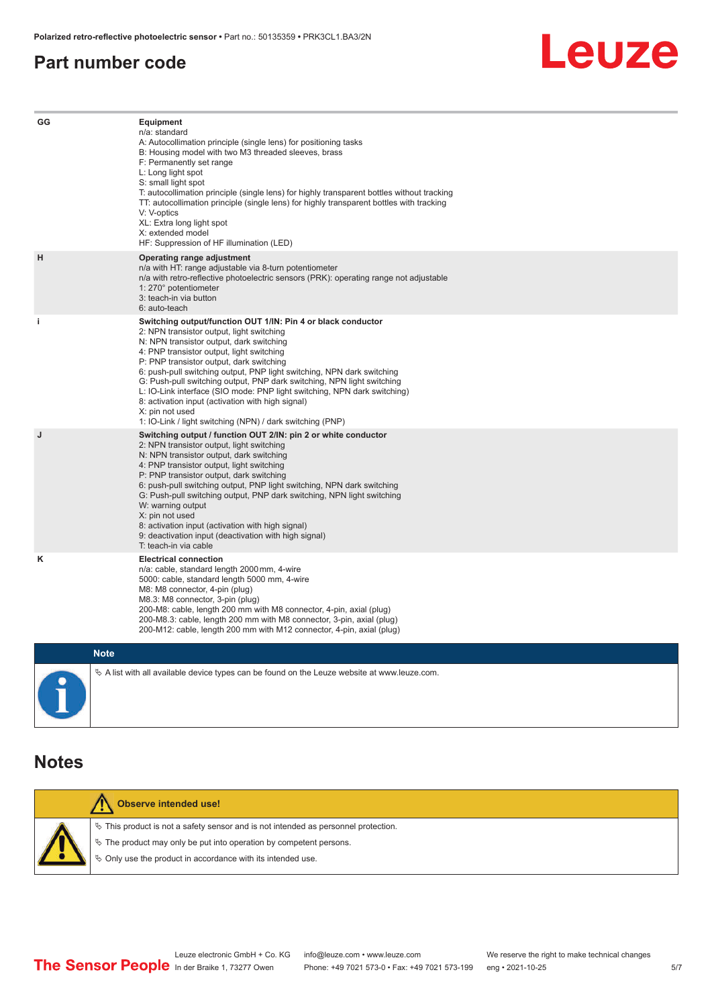#### <span id="page-4-0"></span>**Part number code**



| GG          | Equipment<br>n/a: standard<br>A: Autocollimation principle (single lens) for positioning tasks<br>B: Housing model with two M3 threaded sleeves, brass<br>F: Permanently set range<br>L: Long light spot<br>S: small light spot<br>T: autocollimation principle (single lens) for highly transparent bottles without tracking<br>TT: autocollimation principle (single lens) for highly transparent bottles with tracking<br>V: V-optics<br>XL: Extra long light spot<br>X: extended model<br>HF: Suppression of HF illumination (LED)                                                                              |
|-------------|---------------------------------------------------------------------------------------------------------------------------------------------------------------------------------------------------------------------------------------------------------------------------------------------------------------------------------------------------------------------------------------------------------------------------------------------------------------------------------------------------------------------------------------------------------------------------------------------------------------------|
| н           | Operating range adjustment<br>n/a with HT: range adjustable via 8-turn potentiometer<br>n/a with retro-reflective photoelectric sensors (PRK): operating range not adjustable<br>1: 270° potentiometer<br>3: teach-in via button<br>6: auto-teach                                                                                                                                                                                                                                                                                                                                                                   |
| i.          | Switching output/function OUT 1/IN: Pin 4 or black conductor<br>2: NPN transistor output, light switching<br>N: NPN transistor output, dark switching<br>4: PNP transistor output, light switching<br>P: PNP transistor output, dark switching<br>6: push-pull switching output, PNP light switching, NPN dark switching<br>G: Push-pull switching output, PNP dark switching, NPN light switching<br>L: IO-Link interface (SIO mode: PNP light switching, NPN dark switching)<br>8: activation input (activation with high signal)<br>X: pin not used<br>1: IO-Link / light switching (NPN) / dark switching (PNP) |
| J           | Switching output / function OUT 2/IN: pin 2 or white conductor<br>2: NPN transistor output, light switching<br>N: NPN transistor output, dark switching<br>4: PNP transistor output, light switching<br>P: PNP transistor output, dark switching<br>6: push-pull switching output, PNP light switching, NPN dark switching<br>G: Push-pull switching output, PNP dark switching, NPN light switching<br>W: warning output<br>X: pin not used<br>8: activation input (activation with high signal)<br>9: deactivation input (deactivation with high signal)<br>T: teach-in via cable                                 |
| κ           | <b>Electrical connection</b><br>n/a: cable, standard length 2000 mm, 4-wire<br>5000: cable, standard length 5000 mm, 4-wire<br>M8: M8 connector, 4-pin (plug)<br>M8.3: M8 connector, 3-pin (plug)<br>200-M8: cable, length 200 mm with M8 connector, 4-pin, axial (plug)<br>200-M8.3: cable, length 200 mm with M8 connector, 3-pin, axial (plug)<br>200-M12: cable, length 200 mm with M12 connector, 4-pin, axial (plug)                                                                                                                                                                                          |
| <b>Note</b> |                                                                                                                                                                                                                                                                                                                                                                                                                                                                                                                                                                                                                     |

 $\%$  A list with all available device types can be found on the Leuze website at www.leuze.com.

#### **Notes**

| <b>Observe intended use!</b>                                                          |
|---------------------------------------------------------------------------------------|
| $\%$ This product is not a safety sensor and is not intended as personnel protection. |
| $\%$ The product may only be put into operation by competent persons.                 |
| ♦ Only use the product in accordance with its intended use.                           |
|                                                                                       |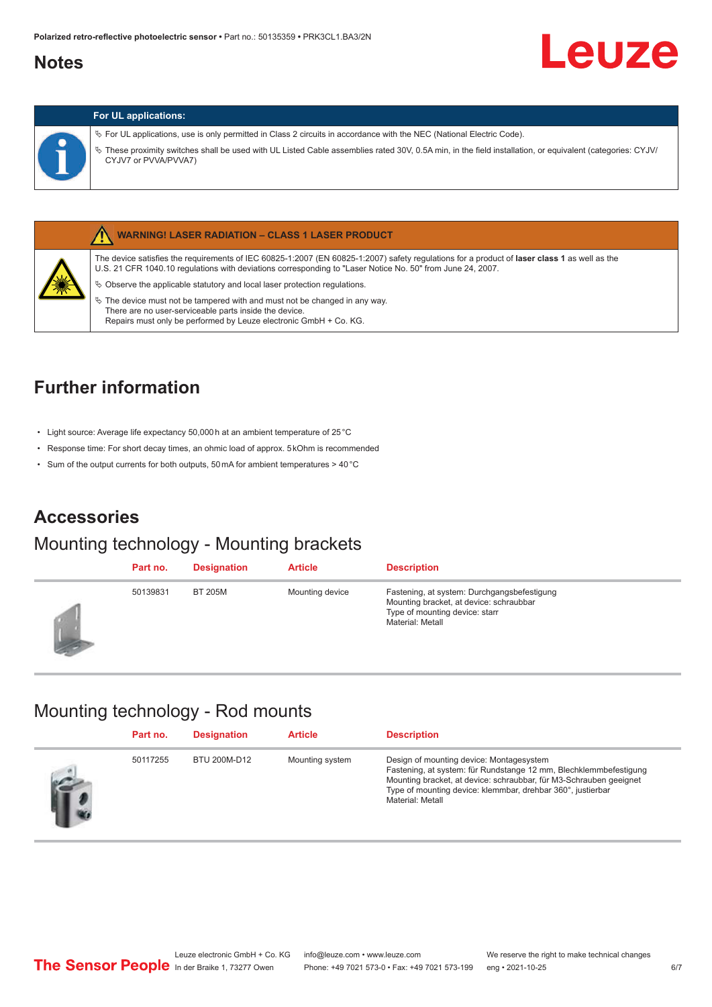### <span id="page-5-0"></span>**Notes**

#### **For UL applications:**

ª For UL applications, use is only permitted in Class 2 circuits in accordance with the NEC (National Electric Code).

ª These proximity switches shall be used with UL Listed Cable assemblies rated 30V, 0.5A min, in the field installation, or equivalent (categories: CYJV/ CYJV7 or PVVA/PVVA7)



#### **WARNING! LASER RADIATION – CLASS 1 LASER PRODUCT**

The device satisfies the requirements of IEC 60825-1:2007 (EN 60825-1:2007) safety regulations for a product of **laser class 1** as well as the U.S. 21 CFR 1040.10 regulations with deviations corresponding to "Laser Notice No. 50" from June 24, 2007.

- $\%$  Observe the applicable statutory and local laser protection regulations.
- $\%$  The device must not be tampered with and must not be changed in any way. There are no user-serviceable parts inside the device. Repairs must only be performed by Leuze electronic GmbH + Co. KG.

## **Further information**

- Light source: Average life expectancy 50,000 h at an ambient temperature of 25 °C
- Response time: For short decay times, an ohmic load of approx. 5 kOhm is recommended
- Sum of the output currents for both outputs, 50 mA for ambient temperatures > 40 °C

### **Accessories**

#### Mounting technology - Mounting brackets

| Part no. | <b>Designation</b> | <b>Article</b>  | <b>Description</b>                                                                                                                           |
|----------|--------------------|-----------------|----------------------------------------------------------------------------------------------------------------------------------------------|
| 50139831 | <b>BT 205M</b>     | Mounting device | Fastening, at system: Durchgangsbefestigung<br>Mounting bracket, at device: schraubbar<br>Type of mounting device: starr<br>Material: Metall |

#### Mounting technology - Rod mounts

| Part no. | <b>Designation</b> | <b>Article</b>  | <b>Description</b>                                                                                                                                                                                                                                                     |
|----------|--------------------|-----------------|------------------------------------------------------------------------------------------------------------------------------------------------------------------------------------------------------------------------------------------------------------------------|
| 50117255 | BTU 200M-D12       | Mounting system | Design of mounting device: Montagesystem<br>Fastening, at system: für Rundstange 12 mm, Blechklemmbefestigung<br>Mounting bracket, at device: schraubbar, für M3-Schrauben geeignet<br>Type of mounting device: klemmbar, drehbar 360°, justierbar<br>Material: Metall |

Leuze